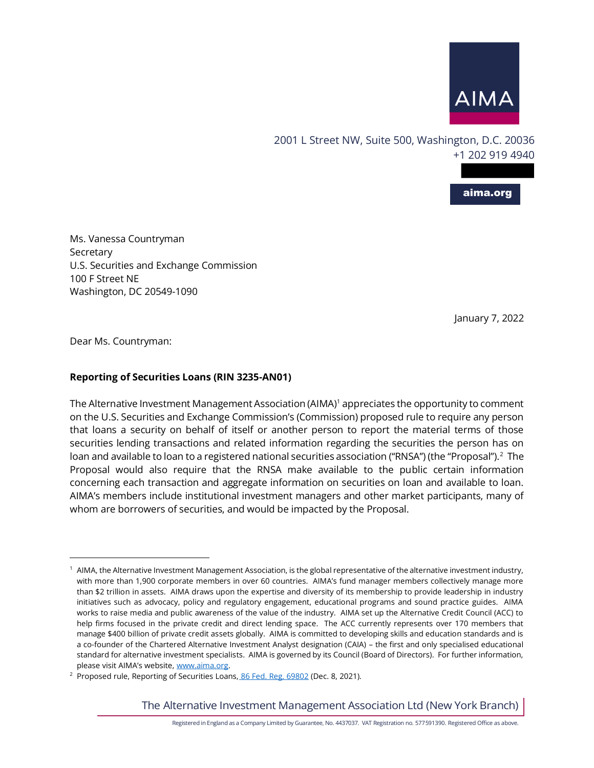

2001 L Street NW, Suite 500, Washington, D.C. 20036 +1 202 919 4940

aima.org

Ms. Vanessa Countryman Secretary U.S. Securities and Exchange Commission 100 F Street NE Washington, DC 20549-1090

January 7, 2022

Dear Ms. Countryman:

## **Reporting of Securities Loans (RIN 3235-AN01)**

The Alternative Investment Management Association (AIMA) $<sup>1</sup>$  appreciates the opportunity to comment</sup> on the U.S. Securities and Exchange Commission's (Commission) proposed rule to require any person that loans a security on behalf of itself or another person to report the material terms of those securities lending transactions and related information regarding the securities the person has on loan and available to loan to a registered national securities association ("RNSA") (the "Proposal"). $^2$  The Proposal would also require that the RNSA make available to the public certain information concerning each transaction and aggregate information on securities on loan and available to loan. AIMA's members include institutional investment managers and other market participants, many of whom are borrowers of securities, and would be impacted by the Proposal.

The Alternative Investment Management Association Ltd (New York Branch)

<sup>&</sup>lt;sup>1</sup> AIMA, the Alternative Investment Management Association, is the global representative of the alternative investment industry, with more than 1,900 corporate members in over 60 countries. AIMA's fund manager members collectively manage more than \$2 trillion in assets. AIMA draws upon the expertise and diversity of its membership to provide leadership in industry initiatives such as advocacy, policy and regulatory engagement, educational programs and sound practice guides. AIMA works to raise media and public awareness of the value of the industry. AIMA set up the Alternative Credit Council (ACC) to help firms focused in the private credit and direct lending space. The ACC currently represents over 170 members that manage \$400 billion of private credit assets globally. AIMA is committed to developing skills and education standards and is a co-founder of the Chartered Alternative Investment Analyst designation (CAIA) – the first and only specialised educational standard for alternative investment specialists. AIMA is governed by its Council (Board of Directors). For further information, please visit AIMA's website, www.aima.org.

<sup>&</sup>lt;sup>2</sup> Proposed rule, Reporting of Securities Loans, 86 Fed. Reg. 69802 (Dec. 8, 2021).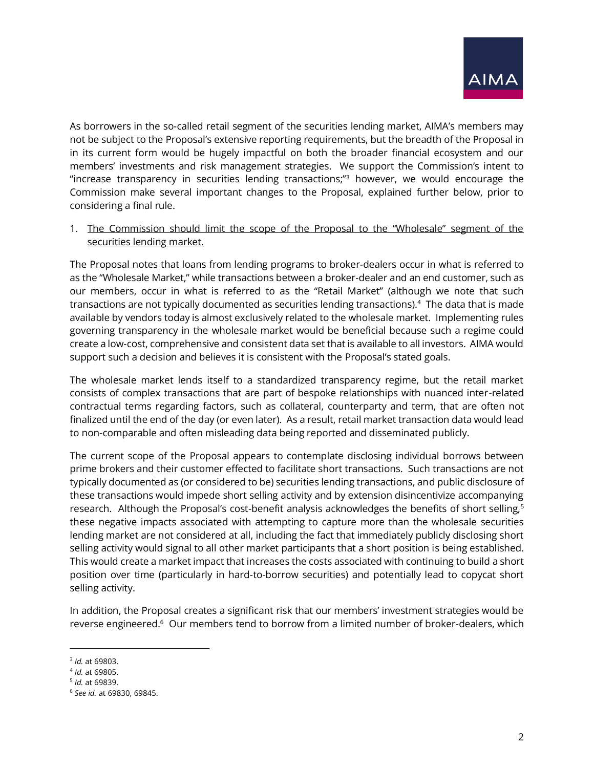

As borrowers in the so-called retail segment of the securities lending market, AIMA's members may not be subject to the Proposal's extensive reporting requirements, but the breadth of the Proposal in in its current form would be hugely impactful on both the broader financial ecosystem and our members' investments and risk management strategies. We support the Commission's intent to "increase transparency in securities lending transactions;"<sup>3</sup> however, we would encourage the Commission make several important changes to the Proposal, explained further below, prior to considering a final rule.

1. The Commission should limit the scope of the Proposal to the "Wholesale" segment of the securities lending market.

The Proposal notes that loans from lending programs to broker-dealers occur in what is referred to as the "Wholesale Market," while transactions between a broker-dealer and an end customer, such as our members, occur in what is referred to as the "Retail Market" (although we note that such transactions are not typically documented as securities lending transactions).<sup>4</sup> The data that is made available by vendors today is almost exclusively related to the wholesale market. Implementing rules governing transparency in the wholesale market would be beneficial because such a regime could create a low-cost, comprehensive and consistent data set that is available to all investors. AIMA would support such a decision and believes it is consistent with the Proposal's stated goals.

The wholesale market lends itself to a standardized transparency regime, but the retail market consists of complex transactions that are part of bespoke relationships with nuanced inter-related contractual terms regarding factors, such as collateral, counterparty and term, that are often not finalized until the end of the day (or even later). As a result, retail market transaction data would lead to non-comparable and often misleading data being reported and disseminated publicly.

The current scope of the Proposal appears to contemplate disclosing individual borrows between prime brokers and their customer effected to facilitate short transactions. Such transactions are not typically documented as (or considered to be) securities lending transactions, and public disclosure of these transactions would impede short selling activity and by extension disincentivize accompanying research. Although the Proposal's cost-benefit analysis acknowledges the benefits of short selling,<sup>5</sup> these negative impacts associated with attempting to capture more than the wholesale securities lending market are not considered at all, including the fact that immediately publicly disclosing short selling activity would signal to all other market participants that a short position is being established. This would create a market impact that increases the costs associated with continuing to build a short position over time (particularly in hard-to-borrow securities) and potentially lead to copycat short selling activity.

In addition, the Proposal creates a significant risk that our members' investment strategies would be reverse engineered.<sup>6</sup> Our members tend to borrow from a limited number of broker-dealers, which

<sup>3</sup> *Id.* at 69803.

<sup>4</sup> *Id.* at 69805.

<sup>5</sup> *Id.* at 69839.

<sup>6</sup> *See id.* at 69830, 69845.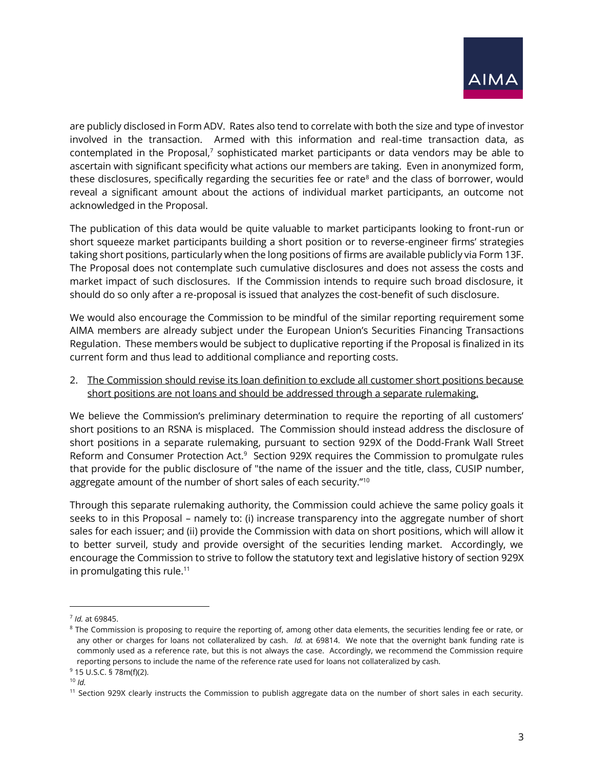

are publicly disclosed in Form ADV. Rates also tend to correlate with both the size and type of investor involved in the transaction. Armed with this information and real-time transaction data, as contemplated in the Proposal,<sup>7</sup> sophisticated market participants or data vendors may be able to ascertain with significant specificity what actions our members are taking. Even in anonymized form, these disclosures, specifically regarding the securities fee or rate $8$  and the class of borrower, would reveal a significant amount about the actions of individual market participants, an outcome not acknowledged in the Proposal.

The publication of this data would be quite valuable to market participants looking to front-run or short squeeze market participants building a short position or to reverse-engineer firms' strategies taking short positions, particularly when the long positions of firms are available publicly via Form 13F. The Proposal does not contemplate such cumulative disclosures and does not assess the costs and market impact of such disclosures. If the Commission intends to require such broad disclosure, it should do so only after a re-proposal is issued that analyzes the cost-benefit of such disclosure.

We would also encourage the Commission to be mindful of the similar reporting requirement some AIMA members are already subject under the European Union's Securities Financing Transactions Regulation. These members would be subject to duplicative reporting if the Proposal is finalized in its current form and thus lead to additional compliance and reporting costs.

2. The Commission should revise its loan definition to exclude all customer short positions because short positions are not loans and should be addressed through a separate rulemaking.

We believe the Commission's preliminary determination to require the reporting of all customers' short positions to an RSNA is misplaced. The Commission should instead address the disclosure of short positions in a separate rulemaking, pursuant to section 929X of the Dodd-Frank Wall Street Reform and Consumer Protection Act.<sup>9</sup> Section 929X requires the Commission to promulgate rules that provide for the public disclosure of "the name of the issuer and the title, class, CUSIP number, aggregate amount of the number of short sales of each security."<sup>10</sup>

Through this separate rulemaking authority, the Commission could achieve the same policy goals it seeks to in this Proposal – namely to: (i) increase transparency into the aggregate number of short sales for each issuer; and (ii) provide the Commission with data on short positions, which will allow it to better surveil, study and provide oversight of the securities lending market. Accordingly, we encourage the Commission to strive to follow the statutory text and legislative history of section 929X in promulgating this rule.<sup>11</sup>

<sup>7</sup> *Id.* at 69845.

<sup>&</sup>lt;sup>8</sup> The Commission is proposing to require the reporting of, among other data elements, the securities lending fee or rate, or any other or charges for loans not collateralized by cash. *Id.* at 69814. We note that the overnight bank funding rate is commonly used as a reference rate, but this is not always the case. Accordingly, we recommend the Commission require reporting persons to include the name of the reference rate used for loans not collateralized by cash.

<sup>9</sup> 15 U.S.C. § 78m(f)(2).

 $10$  *Id.* 

<sup>&</sup>lt;sup>11</sup> Section 929X clearly instructs the Commission to publish aggregate data on the number of short sales in each security.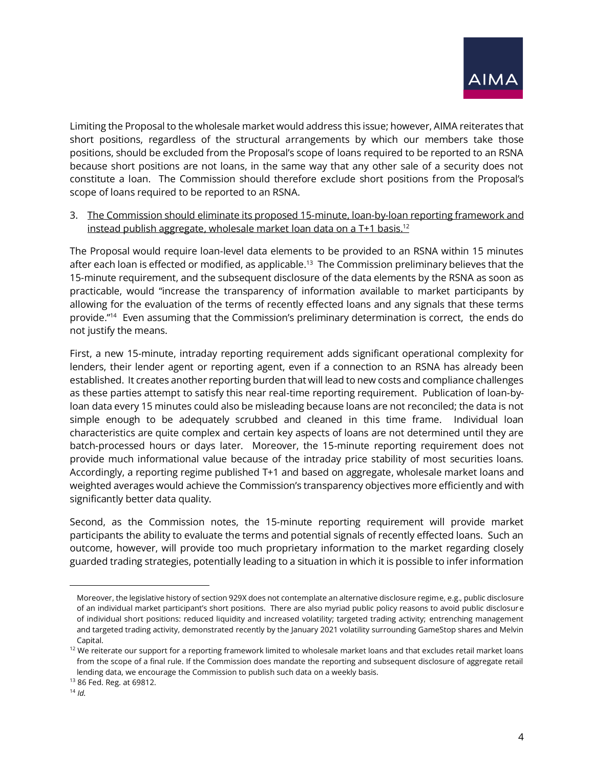

Limiting the Proposal to the wholesale market would address this issue; however, AIMA reiterates that short positions, regardless of the structural arrangements by which our members take those positions, should be excluded from the Proposal's scope of loans required to be reported to an RSNA because short positions are not loans, in the same way that any other sale of a security does not constitute a loan. The Commission should therefore exclude short positions from the Proposal's scope of loans required to be reported to an RSNA.

3. The Commission should eliminate its proposed 15-minute, loan-by-loan reporting framework and instead publish aggregate, wholesale market loan data on a T+1 basis. 12

The Proposal would require loan-level data elements to be provided to an RSNA within 15 minutes after each loan is effected or modified, as applicable.<sup>13</sup> The Commission preliminary believes that the 15-minute requirement, and the subsequent disclosure of the data elements by the RSNA as soon as practicable, would "increase the transparency of information available to market participants by allowing for the evaluation of the terms of recently effected loans and any signals that these terms provide."<sup>14</sup> Even assuming that the Commission's preliminary determination is correct, the ends do not justify the means.

First, a new 15-minute, intraday reporting requirement adds significant operational complexity for lenders, their lender agent or reporting agent, even if a connection to an RSNA has already been established. It creates another reporting burden that will lead to new costs and compliance challenges as these parties attempt to satisfy this near real-time reporting requirement. Publication of loan-byloan data every 15 minutes could also be misleading because loans are not reconciled; the data is not simple enough to be adequately scrubbed and cleaned in this time frame. Individual loan characteristics are quite complex and certain key aspects of loans are not determined until they are batch-processed hours or days later. Moreover, the 15-minute reporting requirement does not provide much informational value because of the intraday price stability of most securities loans. Accordingly, a reporting regime published T+1 and based on aggregate, wholesale market loans and weighted averages would achieve the Commission's transparency objectives more efficiently and with significantly better data quality.

Second, as the Commission notes, the 15-minute reporting requirement will provide market participants the ability to evaluate the terms and potential signals of recently effected loans. Such an outcome, however, will provide too much proprietary information to the market regarding closely guarded trading strategies, potentially leading to a situation in which it is possible to infer information

Moreover, the legislative history of section 929X does not contemplate an alternative disclosure regime, e.g., public disclosure of an individual market participant's short positions. There are also myriad public policy reasons to avoid public disclosure of individual short positions: reduced liquidity and increased volatility; targeted trading activity; entrenching management and targeted trading activity, demonstrated recently by the January 2021 volatility surrounding GameStop shares and Melvin Capital.

 $12$  We reiterate our support for a reporting framework limited to wholesale market loans and that excludes retail market loans from the scope of a final rule. If the Commission does mandate the reporting and subsequent disclosure of aggregate retail lending data, we encourage the Commission to publish such data on a weekly basis.

<sup>13</sup> 86 Fed. Reg. at 69812.

<sup>14</sup> *Id.*